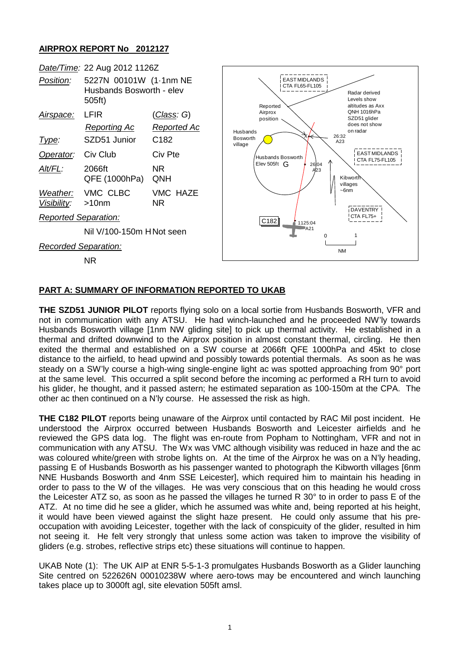## **AIRPROX REPORT No 2012127**



## **PART A: SUMMARY OF INFORMATION REPORTED TO UKAB**

**THE SZD51 JUNIOR PILOT** reports flying solo on a local sortie from Husbands Bosworth, VFR and not in communication with any ATSU. He had winch-launched and he proceeded NW'ly towards Husbands Bosworth village [1nm NW gliding site] to pick up thermal activity. He established in a thermal and drifted downwind to the Airprox position in almost constant thermal, circling. He then exited the thermal and established on a SW course at 2066ft QFE 1000hPa and 45kt to close distance to the airfield, to head upwind and possibly towards potential thermals. As soon as he was steady on a SW'ly course a high-wing single-engine light ac was spotted approaching from 90° port at the same level. This occurred a split second before the incoming ac performed a RH turn to avoid his glider, he thought, and it passed astern; he estimated separation as 100-150m at the CPA. The other ac then continued on a N'ly course. He assessed the risk as high.

**THE C182 PILOT** reports being unaware of the Airprox until contacted by RAC Mil post incident. He understood the Airprox occurred between Husbands Bosworth and Leicester airfields and he reviewed the GPS data log. The flight was en-route from Popham to Nottingham, VFR and not in communication with any ATSU. The Wx was VMC although visibility was reduced in haze and the ac was coloured white/green with strobe lights on. At the time of the Airprox he was on a N'ly heading, passing E of Husbands Bosworth as his passenger wanted to photograph the Kibworth villages [6nm NNE Husbands Bosworth and 4nm SSE Leicester], which required him to maintain his heading in order to pass to the W of the villages. He was very conscious that on this heading he would cross the Leicester ATZ so, as soon as he passed the villages he turned R 30° to in order to pass E of the ATZ. At no time did he see a glider, which he assumed was white and, being reported at his height, it would have been viewed against the slight haze present. He could only assume that his preoccupation with avoiding Leicester, together with the lack of conspicuity of the glider, resulted in him not seeing it. He felt very strongly that unless some action was taken to improve the visibility of gliders (e.g. strobes, reflective strips etc) these situations will continue to happen.

UKAB Note (1): The UK AIP at ENR 5-5-1-3 promulgates Husbands Bosworth as a Glider launching Site centred on 522626N 00010238W where aero-tows may be encountered and winch launching takes place up to 3000ft agl, site elevation 505ft amsl.